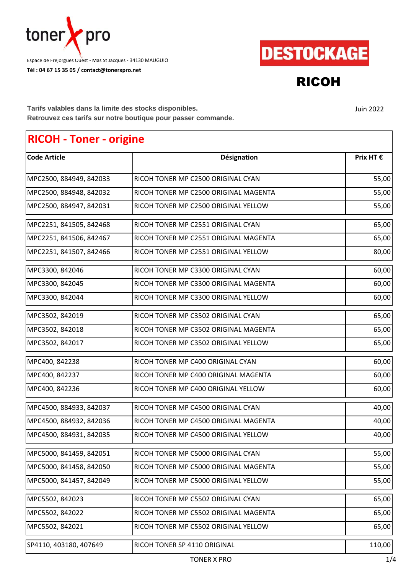

**Tél : 04 67 15 35 05 / contact@tonerxpro.net** Espace de Fréjorgues Ouest - Mas St Jacques - 34130 MAUGUIO



RICOH

Juin 2022

**Tarifs valables dans la limite des stocks disponibles. Retrouvez ces tarifs sur notre boutique pour passer commande.**

## **RICOH - Toner - origine**

| <b>Code Article</b>     | Désignation                           | Prix HT € |
|-------------------------|---------------------------------------|-----------|
| MPC2500, 884949, 842033 | RICOH TONER MP C2500 ORIGINAL CYAN    | 55,00     |
| MPC2500, 884948, 842032 | RICOH TONER MP C2500 ORIGINAL MAGENTA | 55,00     |
| MPC2500, 884947, 842031 | RICOH TONER MP C2500 ORIGINAL YELLOW  | 55,00     |
| MPC2251, 841505, 842468 | RICOH TONER MP C2551 ORIGINAL CYAN    | 65,00     |
| MPC2251, 841506, 842467 | RICOH TONER MP C2551 ORIGINAL MAGENTA | 65,00     |
| MPC2251, 841507, 842466 | RICOH TONER MP C2551 ORIGINAL YELLOW  | 80,00     |
| MPC3300, 842046         | RICOH TONER MP C3300 ORIGINAL CYAN    | 60,00     |
| MPC3300, 842045         | RICOH TONER MP C3300 ORIGINAL MAGENTA | 60,00     |
| MPC3300, 842044         | RICOH TONER MP C3300 ORIGINAL YELLOW  | 60,00     |
| MPC3502, 842019         | RICOH TONER MP C3502 ORIGINAL CYAN    | 65,00     |
| MPC3502, 842018         | RICOH TONER MP C3502 ORIGINAL MAGENTA | 65,00     |
| MPC3502, 842017         | RICOH TONER MP C3502 ORIGINAL YELLOW  | 65,00     |
| MPC400, 842238          | RICOH TONER MP C400 ORIGINAL CYAN     | 60,00     |
| MPC400, 842237          | RICOH TONER MP C400 ORIGINAL MAGENTA  | 60,00     |
| MPC400, 842236          | RICOH TONER MP C400 ORIGINAL YELLOW   | 60,00     |
| MPC4500, 884933, 842037 | RICOH TONER MP C4500 ORIGINAL CYAN    | 40,00     |
| MPC4500, 884932, 842036 | RICOH TONER MP C4500 ORIGINAL MAGENTA | 40,00     |
| MPC4500, 884931, 842035 | RICOH TONER MP C4500 ORIGINAL YELLOW  | 40,00     |
| MPC5000, 841459, 842051 | RICOH TONER MP C5000 ORIGINAL CYAN    | 55,00     |
| MPC5000, 841458, 842050 | RICOH TONER MP C5000 ORIGINAL MAGENTA | 55,00     |
| MPC5000, 841457, 842049 | RICOH TONER MP C5000 ORIGINAL YELLOW  | 55,00     |
| MPC5502, 842023         | RICOH TONER MP C5502 ORIGINAL CYAN    | 65,00     |
| MPC5502, 842022         | RICOH TONER MP C5502 ORIGINAL MAGENTA | 65,00     |
| MPC5502, 842021         | RICOH TONER MP C5502 ORIGINAL YELLOW  | 65,00     |
| SP4110, 403180, 407649  | RICOH TONER SP 4110 ORIGINAL          | 110,00    |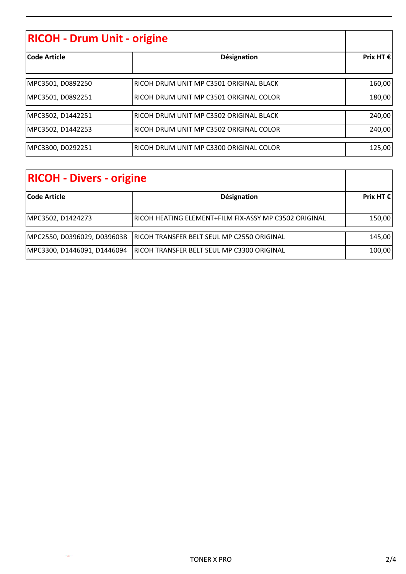| <b>RICOH - Drum Unit - origine</b> |                                         |                    |
|------------------------------------|-----------------------------------------|--------------------|
| <b>lCode Article</b>               | Désignation                             | Prix HT $\epsilon$ |
| MPC3501, D0892250                  | RICOH DRUM UNIT MP C3501 ORIGINAL BLACK | 160,00             |
| MPC3501, D0892251                  | RICOH DRUM UNIT MP C3501 ORIGINAL COLOR | 180,00             |
| MPC3502, D1442251                  | RICOH DRUM UNIT MP C3502 ORIGINAL BLACK | 240,00             |
| MPC3502, D1442253                  | RICOH DRUM UNIT MP C3502 ORIGINAL COLOR | 240,00             |
| MPC3300, D0292251                  | RICOH DRUM UNIT MP C3300 ORIGINAL COLOR | 125,00             |

| <b>RICOH - Divers - origine</b> |                                                       |                    |
|---------------------------------|-------------------------------------------------------|--------------------|
| <b>Code Article</b>             | Désignation                                           | Prix HT $\epsilon$ |
| MPC3502, D1424273               | RICOH HEATING ELEMENT+FILM FIX-ASSY MP C3502 ORIGINAL | 150,00             |
| MPC2550, D0396029, D0396038     | RICOH TRANSFER BELT SEUL MP C2550 ORIGINAL            | 145,00             |
| MPC3300, D1446091, D1446094     | <b>RICOH TRANSFER BELT SEUL MP C3300 ORIGINAL</b>     | 100,00             |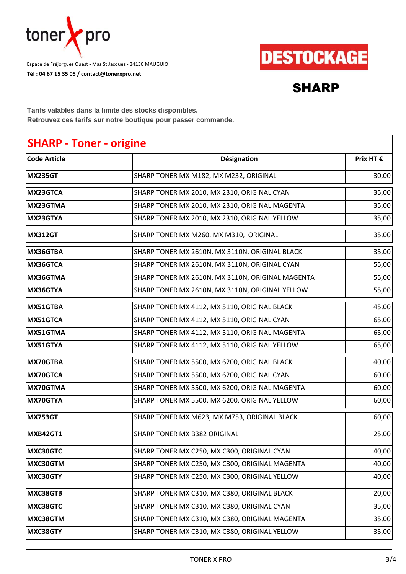

**Tél : 04 67 15 35 05 / contact@tonerxpro.net** Espace de Fréjorgues Ouest - Mas St Jacques - 34130 MAUGUIO



## SHARP

**Tarifs valables dans la limite des stocks disponibles. Retrouvez ces tarifs sur notre boutique pour passer commande.**

## **SHARP - Toner - origine**

| <b>Code Article</b> | Désignation                                      | Prix HT € |
|---------------------|--------------------------------------------------|-----------|
| <b>MX235GT</b>      | SHARP TONER MX M182, MX M232, ORIGINAL           | 30,00     |
| MX23GTCA            | SHARP TONER MX 2010, MX 2310, ORIGINAL CYAN      | 35,00     |
| MX23GTMA            | SHARP TONER MX 2010, MX 2310, ORIGINAL MAGENTA   | 35,00     |
| MX23GTYA            | SHARP TONER MX 2010, MX 2310, ORIGINAL YELLOW    | 35,00     |
| <b>MX312GT</b>      | SHARP TONER MX M260, MX M310, ORIGINAL           | 35,00     |
| MX36GTBA            | SHARP TONER MX 2610N, MX 3110N, ORIGINAL BLACK   | 35,00     |
| MX36GTCA            | SHARP TONER MX 2610N, MX 3110N, ORIGINAL CYAN    | 55,00     |
| MX36GTMA            | SHARP TONER MX 2610N, MX 3110N, ORIGINAL MAGENTA | 55,00     |
| MX36GTYA            | SHARP TONER MX 2610N, MX 3110N, ORIGINAL YELLOW  | 55,00     |
| MX51GTBA            | SHARP TONER MX 4112, MX 5110, ORIGINAL BLACK     | 45,00     |
| MX51GTCA            | SHARP TONER MX 4112, MX 5110, ORIGINAL CYAN      | 65,00     |
| MX51GTMA            | SHARP TONER MX 4112, MX 5110, ORIGINAL MAGENTA   | 65,00     |
| MX51GTYA            | SHARP TONER MX 4112, MX 5110, ORIGINAL YELLOW    | 65,00     |
| MX70GTBA            | SHARP TONER MX 5500, MX 6200, ORIGINAL BLACK     | 40,00     |
| <b>MX70GTCA</b>     | SHARP TONER MX 5500, MX 6200, ORIGINAL CYAN      | 60,00     |
| MX70GTMA            | SHARP TONER MX 5500, MX 6200, ORIGINAL MAGENTA   | 60,00     |
| MX70GTYA            | SHARP TONER MX 5500, MX 6200, ORIGINAL YELLOW    | 60,00     |
| <b>MX753GT</b>      | SHARP TONER MX M623, MX M753, ORIGINAL BLACK     | 60,00     |
| MXB42GT1            | SHARP TONER MX B382 ORIGINAL                     | 25,00     |
| MXC30GTC            | SHARP TONER MX C250, MX C300, ORIGINAL CYAN      | 40,00     |
| MXC30GTM            | SHARP TONER MX C250, MX C300, ORIGINAL MAGENTA   | 40,00     |
| MXC30GTY            | SHARP TONER MX C250, MX C300, ORIGINAL YELLOW    | 40,00     |
| MXC38GTB            | SHARP TONER MX C310, MX C380, ORIGINAL BLACK     | 20,00     |
| MXC38GTC            | SHARP TONER MX C310, MX C380, ORIGINAL CYAN      | 35,00     |
| MXC38GTM            | SHARP TONER MX C310, MX C380, ORIGINAL MAGENTA   | 35,00     |
| MXC38GTY            | SHARP TONER MX C310, MX C380, ORIGINAL YELLOW    | 35,00     |